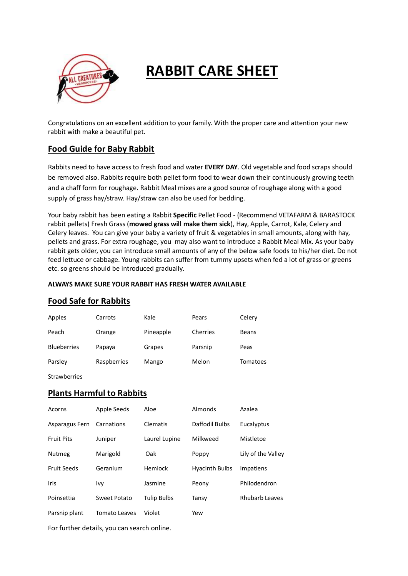

# **RABBIT CARE SHEET**

Congratulations on an excellent addition to your family. With the proper care and attention your new rabbit with make a beautiful pet.

## **Food Guide for Baby Rabbit**

Rabbits need to have access to fresh food and water **EVERY DAY**. Old vegetable and food scraps should be removed also. Rabbits require both pellet form food to wear down their continuously growing teeth and a chaff form for roughage. Rabbit Meal mixes are a good source of roughage along with a good supply of grass hay/straw. Hay/straw can also be used for bedding.

Your baby rabbit has been eating a Rabbit **Specific** Pellet Food - (Recommend VETAFARM & BARASTOCK rabbit pellets) Fresh Grass (**mowed grass will make them sick**), Hay, Apple, Carrot, Kale, Celery and Celery leaves. You can give your baby a variety of fruit & vegetables in small amounts, along with hay, pellets and grass. For extra roughage, you may also want to introduce a Rabbit Meal Mix. As your baby rabbit gets older, you can introduce small amounts of any of the below safe foods to his/her diet. Do not feed lettuce or cabbage. Young rabbits can suffer from tummy upsets when fed a lot of grass or greens etc. so greens should be introduced gradually.

#### **ALWAYS MAKE SURE YOUR RABBIT HAS FRESH WATER AVAILABLE**

## **Food Safe for Rabbits**

| Apples             | Carrots     | Kale      | Pears    | Celery       |
|--------------------|-------------|-----------|----------|--------------|
| Peach              | Orange      | Pineapple | Cherries | <b>Beans</b> |
| <b>Blueberries</b> | Papaya      | Grapes    | Parsnip  | Peas         |
| Parsley            | Raspberries | Mango     | Melon    | Tomatoes     |

Strawberries

### **Plants Harmful to Rabbits**

| Acorns             | Apple Seeds   | Aloe               | Almonds               | Azalea                |
|--------------------|---------------|--------------------|-----------------------|-----------------------|
| Asparagus Fern     | Carnations    | Clematis           | Daffodil Bulbs        | Eucalyptus            |
| <b>Fruit Pits</b>  | Juniper       | Laurel Lupine      | Milkweed              | Mistletoe             |
| <b>Nutmeg</b>      | Marigold      | Oak                | Poppy                 | Lily of the Valley    |
| <b>Fruit Seeds</b> | Geranium      | Hemlock            | <b>Hyacinth Bulbs</b> | Impatiens             |
| Iris               | Ivy           | Jasmine            | Peony                 | Philodendron          |
| Poinsettia         | Sweet Potato  | <b>Tulip Bulbs</b> | Tansy                 | <b>Rhubarb Leaves</b> |
| Parsnip plant      | Tomato Leaves | Violet             | Yew                   |                       |
|                    |               |                    |                       |                       |

For further details, you can search online.